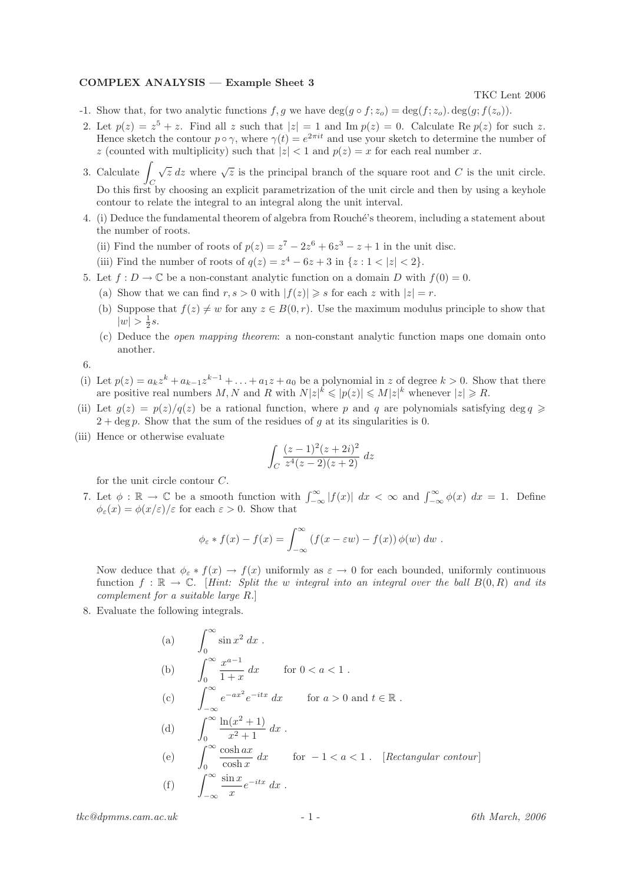## COMPLEX ANALYSIS — Example Sheet 3

TKC Lent 2006

- -1. Show that, for two analytic functions f, g we have  $\deg(q \circ f; z_o) = \deg(f; z_o) \cdot \deg(g; f(z_o))$ .
- 2. Let  $p(z) = z^5 + z$ . Find all z such that  $|z| = 1$  and Im  $p(z) = 0$ . Calculate Re  $p(z)$  for such z. Hence sketch the contour  $p \circ \gamma$ , where  $\gamma(t) = e^{2\pi i t}$  and use your sketch to determine the number of z (counted with multiplicity) such that  $|z| < 1$  and  $p(z) = x$  for each real number x.
- 3. Calculate  $\int \sqrt{z} dz$  where  $\sqrt{z}$  is the principal branch of the square root and C is the unit circle. Do this first by choosing an explicit parametrization of the unit circle and then by using a keyhole contour to relate the integral to an integral along the unit interval.
- 4. (i) Deduce the fundamental theorem of algebra from Rouch´e's theorem, including a statement about the number of roots.
	- (ii) Find the number of roots of  $p(z) = z^7 2z^6 + 6z^3 z + 1$  in the unit disc.
	- (iii) Find the number of roots of  $q(z) = z^4 6z + 3$  in  $\{z : 1 < |z| < 2\}.$
- 5. Let  $f: D \to \mathbb{C}$  be a non-constant analytic function on a domain D with  $f(0) = 0$ .
	- (a) Show that we can find  $r, s > 0$  with  $|f(z)| \geq s$  for each z with  $|z| = r$ .
	- (b) Suppose that  $f(z) \neq w$  for any  $z \in B(0, r)$ . Use the maximum modulus principle to show that  $|w| > \frac{1}{2}s.$
	- (c) Deduce the open mapping theorem: a non-constant analytic function maps one domain onto another.

6.

- (i) Let  $p(z) = a_k z^k + a_{k-1} z^{k-1} + \ldots + a_1 z + a_0$  be a polynomial in z of degree  $k > 0$ . Show that there are positive real numbers M, N and R with  $N|z|^k \leqslant |p(z)| \leqslant M|z|^k$  whenever  $|z| \geqslant R$ .
- (ii) Let  $q(z) = p(z)/q(z)$  be a rational function, where p and q are polynomials satisfying deg  $q \geq$  $2 + \deg p$ . Show that the sum of the residues of g at its singularities is 0.
- (iii) Hence or otherwise evaluate

$$
\int_C \frac{(z-1)^2(z+2i)^2}{z^4(z-2)(z+2)}\,dz
$$

for the unit circle contour C.

7. Let  $\phi : \mathbb{R} \to \mathbb{C}$  be a smooth function with  $\int_{-\infty}^{\infty} |f(x)| dx < \infty$  and  $\int_{-\infty}^{\infty} \phi(x) dx = 1$ . Define  $\phi_{\varepsilon}(x) = \phi(x/\varepsilon)/\varepsilon$  for each  $\varepsilon > 0$ . Show that

$$
\phi_{\varepsilon} * f(x) - f(x) = \int_{-\infty}^{\infty} \left( f(x - \varepsilon w) - f(x) \right) \phi(w) \, dw \, .
$$

Now deduce that  $\phi_{\varepsilon} * f(x) \to f(x)$  uniformly as  $\varepsilon \to 0$  for each bounded, uniformly continuous function  $f : \mathbb{R} \to \mathbb{C}$ . [Hint: Split the w integral into an integral over the ball  $B(0,R)$  and its complement for a suitable large R.]

8. Evaluate the following integrals.

(a) 
$$
\int_0^\infty \sin x^2 dx
$$
  
\n(b) 
$$
\int_0^\infty \frac{x^{a-1}}{1+x} dx \quad \text{for } 0 < a < 1.
$$
  
\n(c) 
$$
\int_{-\infty}^\infty e^{-ax^2} e^{-itx} dx \quad \text{for } a > 0 \text{ and } t \in \mathbb{R}.
$$
  
\n(d) 
$$
\int_0^\infty \frac{\ln(x^2+1)}{x^2+1} dx
$$
  
\n(e) 
$$
\int_0^\infty \frac{\cosh ax}{\cosh x} dx \quad \text{for } -1 < a < 1. \quad [\text{Rectangular contour}]
$$
  
\n(f) 
$$
\int_{-\infty}^\infty \frac{\sin x}{x} e^{-itx} dx
$$

 $tkc@dpmms.cam.ac.uk$  - 1 - 6th March, 2006